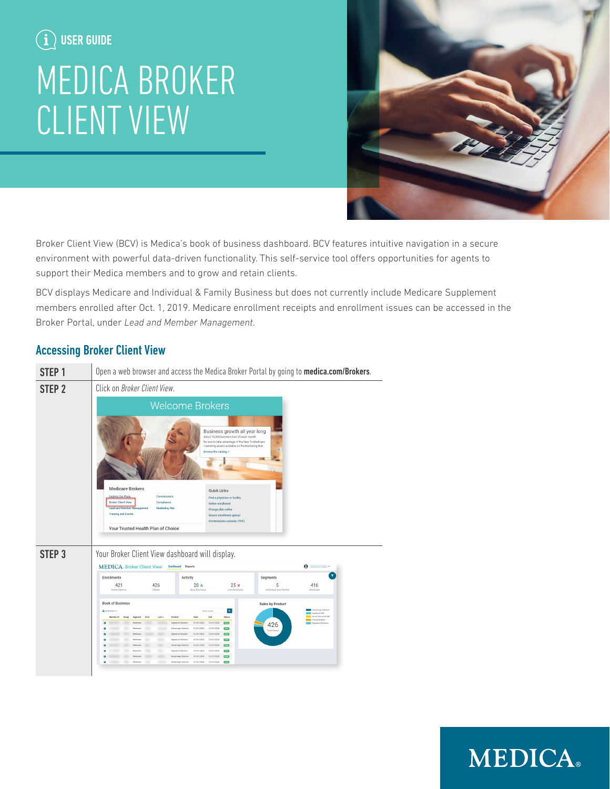## $\bf (i)$  user guide

# MEDICA BROKER CLIENT VIEW



Broker Client View (BCV) is Medica's book of business dashboard. BCV features intuitive navigation in a secure environment with powerful data-driven functionality. This self-service tool offers opportunities for agents to support their Medica members and to grow and retain clients.

BCV displays Medicare and Individual & Family Business but does not currently include Medicare Supplement members enrolled after Oct. 1, 2019. Medicare enrollment receipts and enrollment issues can be accessed in the Broker Portal, under *Lead and Member Management*.

### Accessing Broker Client View



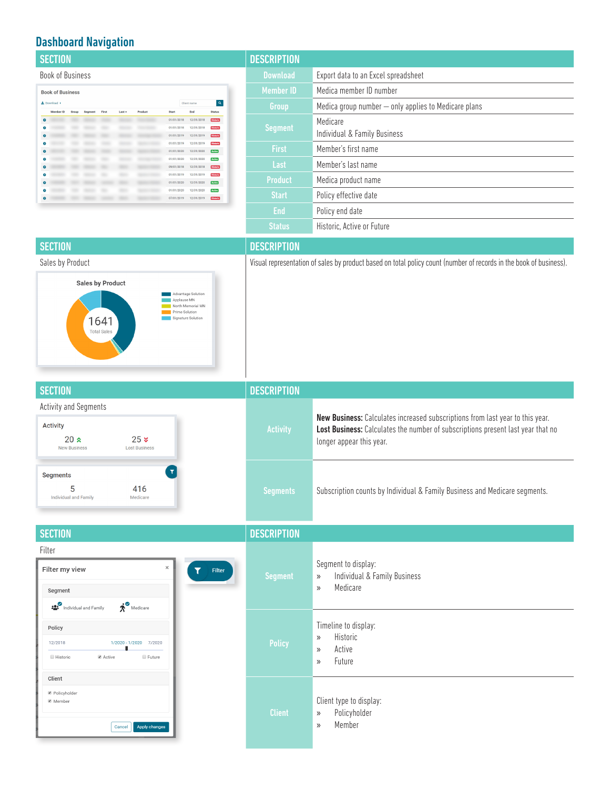### Dashboard Navigation

| <b>SECTION</b>                                                                                                                                  | <b>DESCRIPTION</b> |                                                      |
|-------------------------------------------------------------------------------------------------------------------------------------------------|--------------------|------------------------------------------------------|
| <b>Book of Business</b>                                                                                                                         | <b>Download</b>    | Export data to an Excel spreadsheet                  |
| <b>Book of Business</b>                                                                                                                         | <b>Member ID</b>   | Medica member ID number                              |
| $\overline{a}$<br>上 Download ><br>Client name<br><b>Status</b><br>Product<br>End<br>First<br>Last -<br><b>Start</b><br>Member ID                | Group              | Medica group number - only applies to Medicare plans |
| 12/31/2018<br>01/01/2018<br><b>Historic</b><br>12/31/2018<br>Historic<br>01/01/2018<br>12/31/2019<br>01/01/2019<br><b>Historic</b><br>$\bullet$ | <b>Segment</b>     | Medicare<br>Individual & Family Business             |
| 12/31/2019<br>01/01/2019<br><b>Historic</b><br>12/31/2020<br>Active<br>01/01/2020                                                               | <b>First</b>       | Member's first name                                  |
| 12/31/2020<br><b>Active</b><br>01/01/2020<br>12/31/2018<br>09/01/2018<br><b>Historio</b>                                                        | Last               | Member's last name                                   |
| 12/31/2019<br>01/01/2019<br><b>Historic</b><br>12/31/2020<br>Active<br>01/01/2020                                                               | <b>Product</b>     | Medica product name                                  |
| 12/31/2020<br>01/01/2020<br><b>Active</b><br>12/31/2019<br>$\bullet$<br>07/01/2019<br>Historic                                                  | <b>Start</b>       | Policy effective date                                |
|                                                                                                                                                 | <b>End</b>         | Policy end date                                      |
|                                                                                                                                                 | <b>Status</b>      | Historic. Active or Future                           |
|                                                                                                                                                 |                    |                                                      |



Sales by Product **Visual representation of sales by product** based on total policy count (number of records in the book of business).

| <b>SECTION</b>                                                                                                            | <b>DESCRIPTION</b> |                                                                                                                                                                                              |
|---------------------------------------------------------------------------------------------------------------------------|--------------------|----------------------------------------------------------------------------------------------------------------------------------------------------------------------------------------------|
| Activity and Segments<br><b>Activity</b><br>25 <sub>x</sub><br>20x<br><b>Lost Business</b><br><b>New Business</b>         | <b>Activity</b>    | New Business: Calculates increased subscriptions from last year to this year.<br>Lost Business: Calculates the number of subscriptions present last year that no<br>longer appear this year. |
| <b>Segments</b><br>5<br>416<br>Medicare<br><b>Individual and Family</b>                                                   | <b>Segments</b>    | Subscription counts by Individual & Family Business and Medicare segments.                                                                                                                   |
| <b>SECTION</b>                                                                                                            | <b>DESCRIPTION</b> |                                                                                                                                                                                              |
| Filter<br>$\times$<br>Filter my view<br>Filter<br>Segment<br>$\mathbf{\dot{x}}^{\odot}$ Medicare<br>Individual and Family | <b>Segment</b>     | Segment to display:<br>Individual & Family Business<br>$\rangle\!\rangle$<br>Medicare<br>$\mathcal{Y}$                                                                                       |
| Policy<br>12/2018<br>1/2020 - 1/2020 7/2020<br>■ Active<br><b>E</b> Future<br><b>III</b> Historic                         | <b>Policy</b>      | Timeline to display:<br>Historic<br>$\mathcal{Y}$<br>Active<br>$\mathcal{Y}$<br>Future<br>$\rangle$                                                                                          |
| Client<br>Policyholder<br>■ Member<br>Apply changes<br>Cancel                                                             | <b>Client</b>      | Client type to display:<br>Policyholder<br>$\rangle\!\rangle$<br>Member<br>$\mathcal{D}$                                                                                                     |